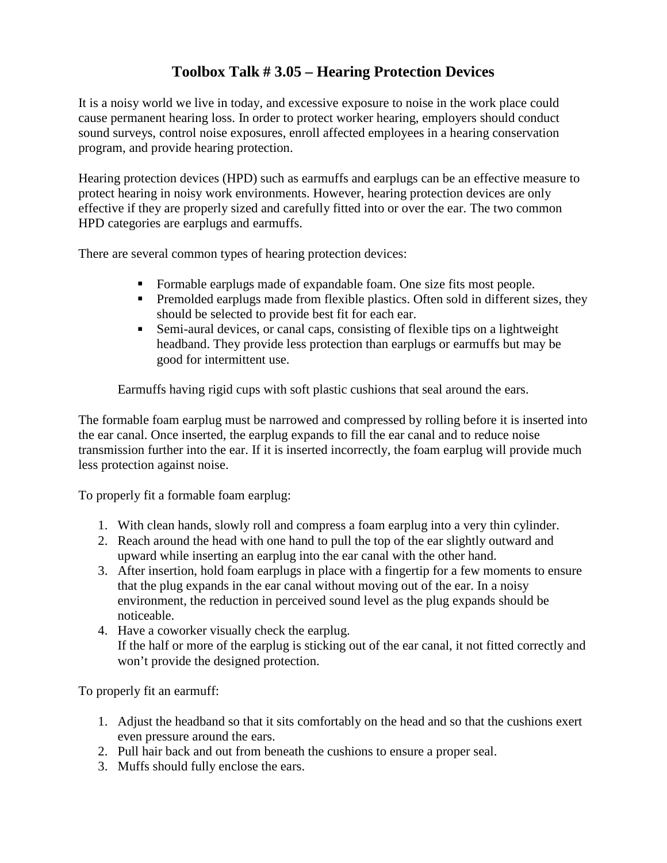## **Toolbox Talk # 3.05 – Hearing Protection Devices**

It is a noisy world we live in today, and excessive exposure to noise in the work place could cause permanent hearing loss. In order to protect worker hearing, employers should conduct sound surveys, control noise exposures, enroll affected employees in a hearing conservation program, and provide hearing protection.

Hearing protection devices (HPD) such as earmuffs and earplugs can be an effective measure to protect hearing in noisy work environments. However, hearing protection devices are only effective if they are properly sized and carefully fitted into or over the ear. The two common HPD categories are earplugs and earmuffs.

There are several common types of hearing protection devices:

- Formable earplugs made of expandable foam. One size fits most people.
- **Premolded earplugs made from flexible plastics. Often sold in different sizes, they** should be selected to provide best fit for each ear.
- Semi-aural devices, or canal caps, consisting of flexible tips on a lightweight headband. They provide less protection than earplugs or earmuffs but may be good for intermittent use.

Earmuffs having rigid cups with soft plastic cushions that seal around the ears.

The formable foam earplug must be narrowed and compressed by rolling before it is inserted into the ear canal. Once inserted, the earplug expands to fill the ear canal and to reduce noise transmission further into the ear. If it is inserted incorrectly, the foam earplug will provide much less protection against noise.

To properly fit a formable foam earplug:

- 1. With clean hands, slowly roll and compress a foam earplug into a very thin cylinder.
- 2. Reach around the head with one hand to pull the top of the ear slightly outward and upward while inserting an earplug into the ear canal with the other hand.
- 3. After insertion, hold foam earplugs in place with a fingertip for a few moments to ensure that the plug expands in the ear canal without moving out of the ear. In a noisy environment, the reduction in perceived sound level as the plug expands should be noticeable.
- 4. Have a coworker visually check the earplug. If the half or more of the earplug is sticking out of the ear canal, it not fitted correctly and won't provide the designed protection.

To properly fit an earmuff:

- 1. Adjust the headband so that it sits comfortably on the head and so that the cushions exert even pressure around the ears.
- 2. Pull hair back and out from beneath the cushions to ensure a proper seal.
- 3. Muffs should fully enclose the ears.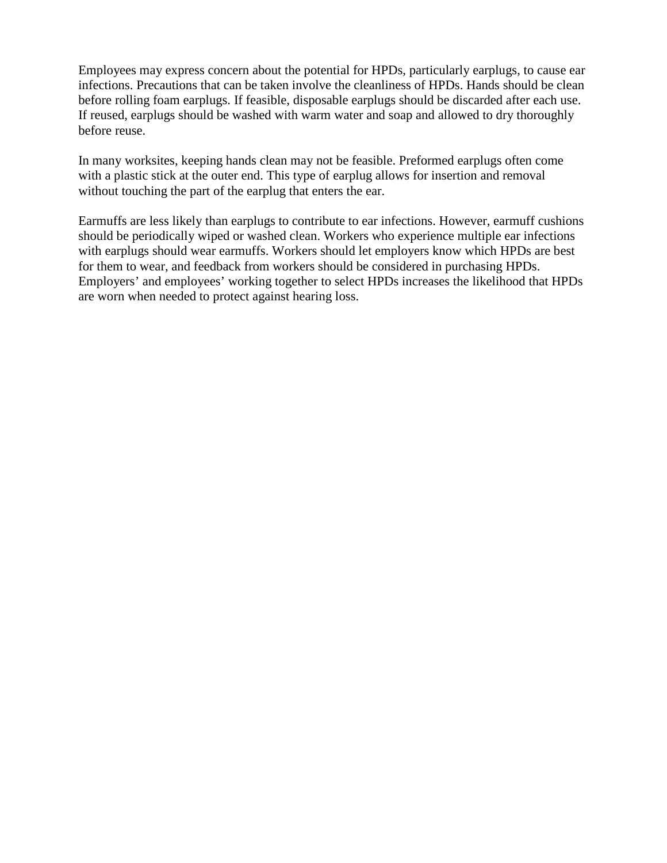Employees may express concern about the potential for HPDs, particularly earplugs, to cause ear infections. Precautions that can be taken involve the cleanliness of HPDs. Hands should be clean before rolling foam earplugs. If feasible, disposable earplugs should be discarded after each use. If reused, earplugs should be washed with warm water and soap and allowed to dry thoroughly before reuse.

In many worksites, keeping hands clean may not be feasible. Preformed earplugs often come with a plastic stick at the outer end. This type of earplug allows for insertion and removal without touching the part of the earplug that enters the ear.

Earmuffs are less likely than earplugs to contribute to ear infections. However, earmuff cushions should be periodically wiped or washed clean. Workers who experience multiple ear infections with earplugs should wear earmuffs. Workers should let employers know which HPDs are best for them to wear, and feedback from workers should be considered in purchasing HPDs. Employers' and employees' working together to select HPDs increases the likelihood that HPDs are worn when needed to protect against hearing loss.